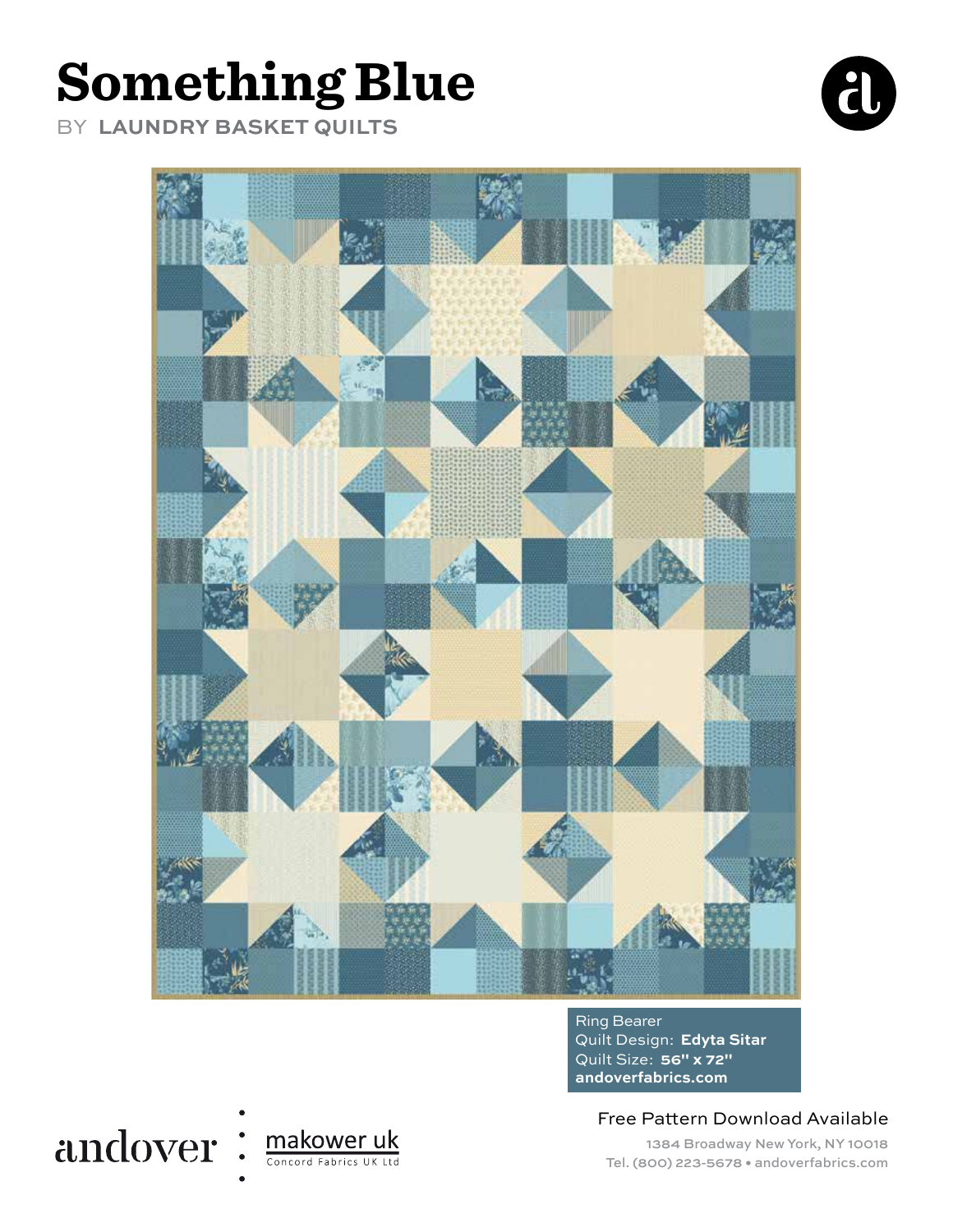# **Something Blue**

BY **LAUNDRY BASKET QUILTS**





Ring Bearer Quilt Design: **Edyta Sitar** Quilt Size: **56" x 72" andoverfabrics.com**

Free Pattern Download Available

1384 Broadway New York, NY 10018 Tel. (800) 223-5678 • andoverfabrics.com

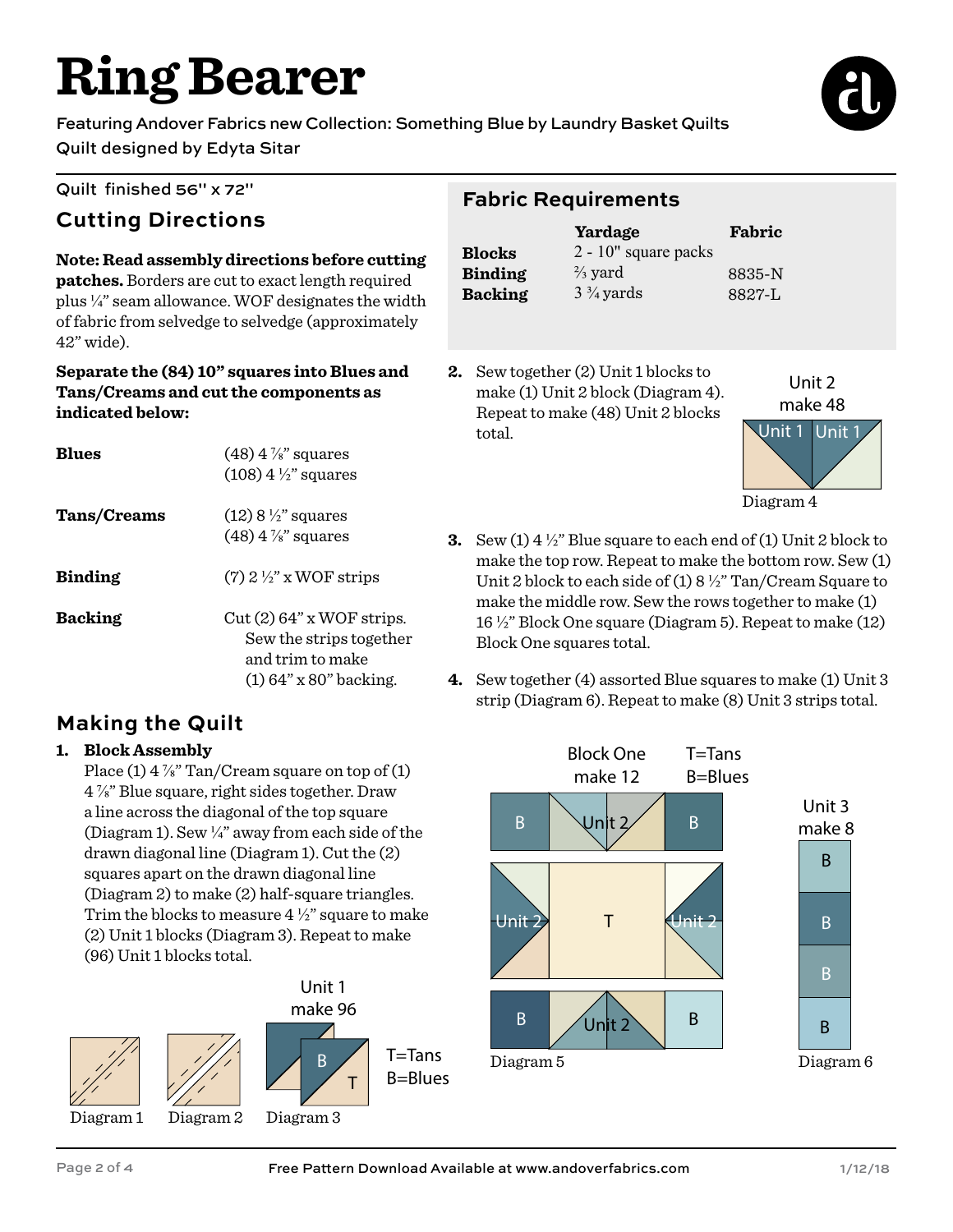# **Ring Bearer**

Featuring Andover Fabrics new Collection: Something Blue by Laundry Basket Quilts Quilt designed by Edyta Sitar



### Quilt finished 56" x 72"

## **Cutting Directions**

#### **Note: Read assembly directions before cutting patches.** Borders are cut to exact length required plus ¼" seam allowance. WOF designates the width of fabric from selvedge to selvedge (approximately 42" wide).

#### **Separate the (84) 10" squares into Blues and Tans/Creams and cut the components as indicated below:**

| <b>R</b> lues      | $(48)$ 4 $\%$ " squares<br>$(108)$ 4 $\frac{1}{2}$ " squares                                            |
|--------------------|---------------------------------------------------------------------------------------------------------|
| <b>Tans/Creams</b> | $(12)$ 8 $\frac{1}{2}$ " squares<br>$(48)$ 4 $\frac{7}{8}$ " squares                                    |
| <b>Binding</b>     | $(7)$ 2 $\frac{1}{2}$ " x WOF strips                                                                    |
| <b>Backing</b>     | $Cut(2) 64$ " x WOF strips.<br>Sew the strips together<br>and trim to make<br>$(1) 64$ " x 80" backing. |

## **Making the Quilt**

### **1. Block Assembly**

Place (1)  $4\frac{7}{8}$ " Tan/Cream square on top of (1) 4 ⅞" Blue square, right sides together. Draw a line across the diagonal of the top square (Diagram 1). Sew  $\frac{1}{4}$  away from each side of the drawn diagonal line (Diagram 1). Cut the (2) squares apart on the drawn diagonal line (Diagram 2) to make (2) half-square triangles. Trim the blocks to measure  $4\frac{1}{2}$  square to make (2) Unit 1 blocks (Diagram 3). Repeat to make (96) Unit 1 blocks total.



## **Fabric Requirements**

|                | Yardage                 | Fabric     |
|----------------|-------------------------|------------|
| <b>Blocks</b>  | $2 - 10$ " square packs |            |
| <b>Binding</b> | $\frac{2}{3}$ yard      | 8835-N     |
| <b>Backing</b> | $3\frac{3}{4}$ yards    | $8827 - I$ |

**2.** Sew together (2) Unit 1 blocks to make (1) Unit 2 block (Diagram 4). Repeat to make (48) Unit 2 blocks total.



**3.** Sew (1) 4 ½" Blue square to each end of (1) Unit 2 block to make the top row. Repeat to make the bottom row. Sew (1) Unit 2 block to each side of (1) 8 ½" Tan/Cream Square to make the middle row. Sew the rows together to make (1) 16 ½" Block One square (Diagram 5). Repeat to make (12) Block One squares total.

**4.** Sew together (4) assorted Blue squares to make (1) Unit 3 strip (Diagram 6). Repeat to make (8) Unit 3 strips total.

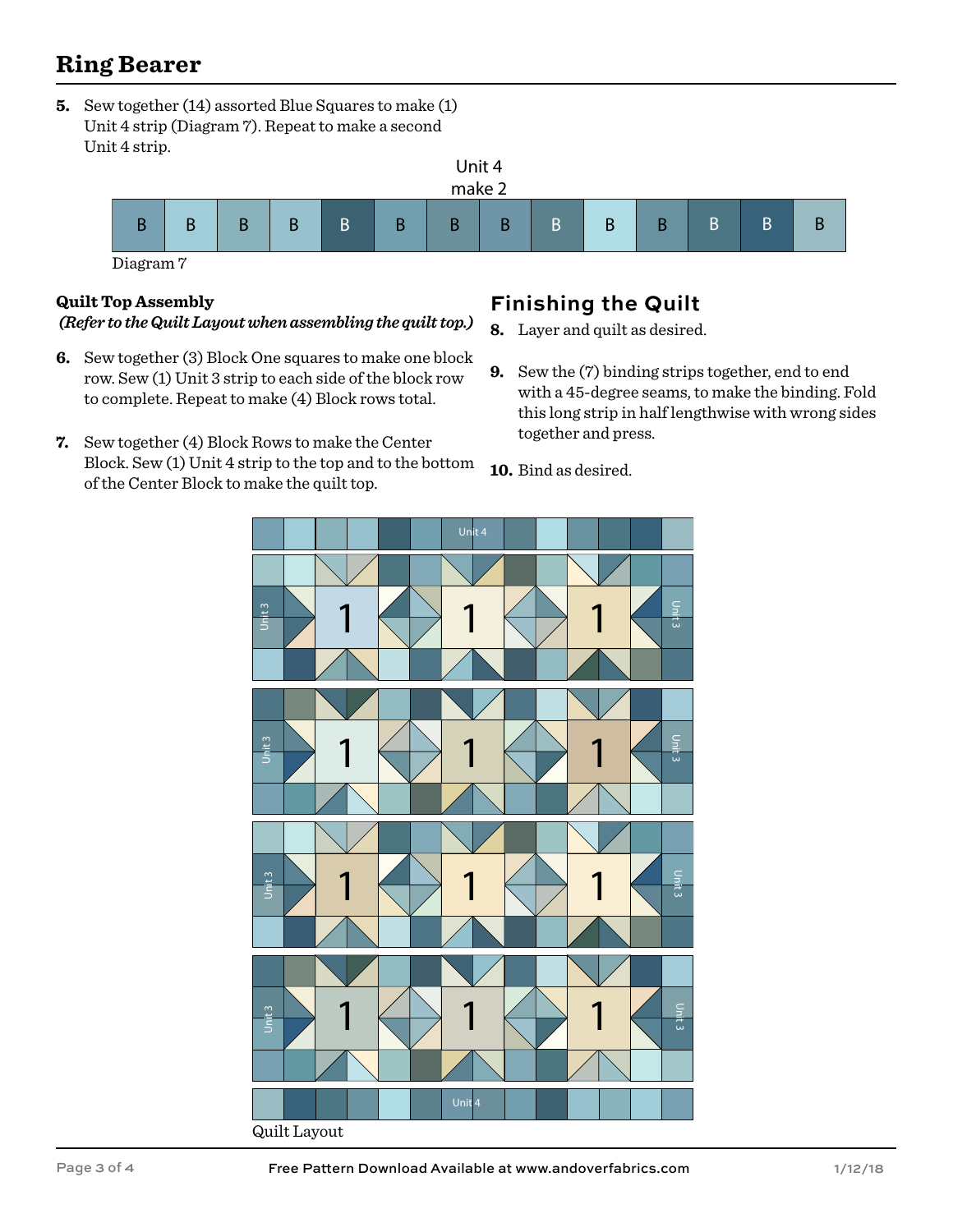## **Ring Bearer**

**5.** Sew together (14) assorted Blue Squares to make (1) Unit 4 strip (Diagram 7). Repeat to make a second Unit 4 strip.



#### **Quilt Top Assembly** *(Refer to the Quilt Layout when assembling the quilt top.)*

- **6.** Sew together (3) Block One squares to make one block row. Sew (1) Unit 3 strip to each side of the block row to complete. Repeat to make (4) Block rows total.
- **7.** Sew together (4) Block Rows to make the Center Block. Sew (1) Unit 4 strip to the top and to the bottom of the Center Block to make the quilt top.

## **Finishing the Quilt**

- **8.** Layer and quilt as desired.
- **9.** Sew the (7) binding strips together, end to end with a 45-degree seams, to make the binding. Fold this long strip in half lengthwise with wrong sides together and press.

**10.** Bind as desired.